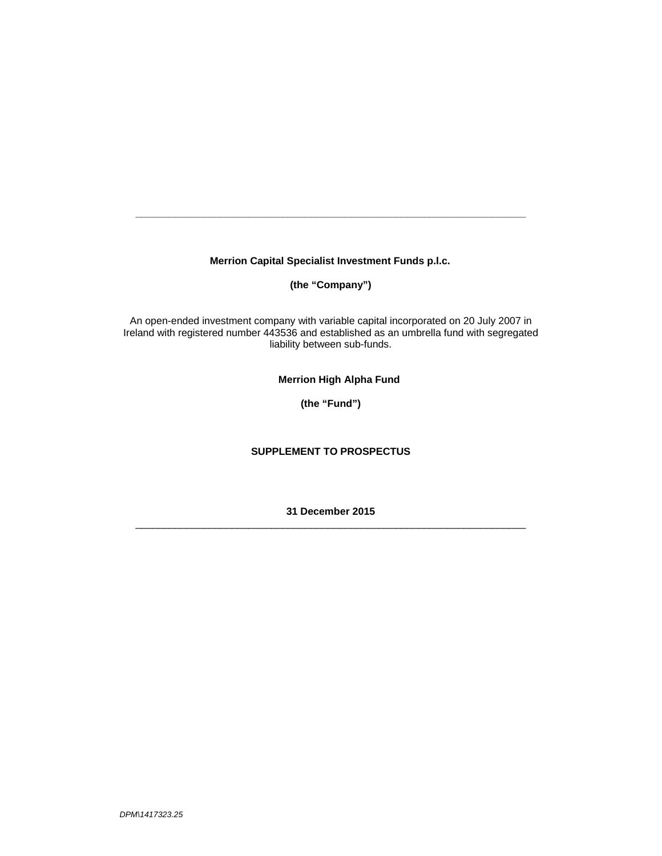**Merrion Capital Specialist Investment Funds p.l.c.** 

**\_\_\_\_\_\_\_\_\_\_\_\_\_\_\_\_\_\_\_\_\_\_\_\_\_\_\_\_\_\_\_\_\_\_\_\_\_\_\_\_\_\_\_\_\_\_\_\_\_\_\_\_\_\_\_\_\_\_\_\_\_\_\_\_\_\_\_\_\_** 

**(the "Company")** 

An open-ended investment company with variable capital incorporated on 20 July 2007 in Ireland with registered number 443536 and established as an umbrella fund with segregated liability between sub-funds.

**Merrion High Alpha Fund** 

**(the "Fund")**

# **SUPPLEMENT TO PROSPECTUS**

**31 December 2015**   $\Box$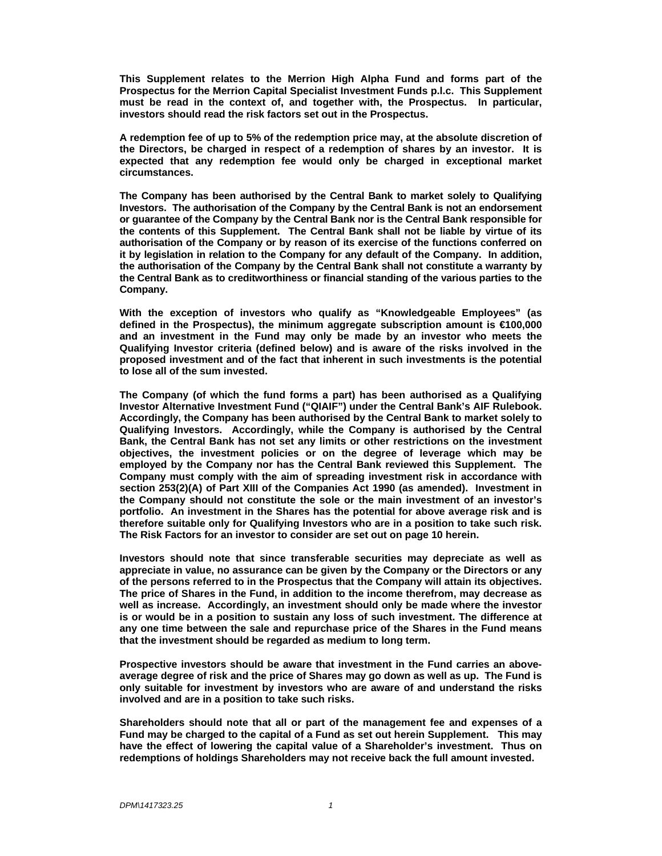**This Supplement relates to the Merrion High Alpha Fund and forms part of the Prospectus for the Merrion Capital Specialist Investment Funds p.l.c. This Supplement must be read in the context of, and together with, the Prospectus. In particular, investors should read the risk factors set out in the Prospectus.** 

**A redemption fee of up to 5% of the redemption price may, at the absolute discretion of the Directors, be charged in respect of a redemption of shares by an investor. It is expected that any redemption fee would only be charged in exceptional market circumstances.** 

**The Company has been authorised by the Central Bank to market solely to Qualifying Investors. The authorisation of the Company by the Central Bank is not an endorsement or guarantee of the Company by the Central Bank nor is the Central Bank responsible for the contents of this Supplement. The Central Bank shall not be liable by virtue of its authorisation of the Company or by reason of its exercise of the functions conferred on it by legislation in relation to the Company for any default of the Company. In addition, the authorisation of the Company by the Central Bank shall not constitute a warranty by the Central Bank as to creditworthiness or financial standing of the various parties to the Company.** 

**With the exception of investors who qualify as "Knowledgeable Employees" (as defined in the Prospectus), the minimum aggregate subscription amount is €100,000 and an investment in the Fund may only be made by an investor who meets the Qualifying Investor criteria (defined below) and is aware of the risks involved in the proposed investment and of the fact that inherent in such investments is the potential to lose all of the sum invested.** 

**The Company (of which the fund forms a part) has been authorised as a Qualifying Investor Alternative Investment Fund ("QIAIF") under the Central Bank's AIF Rulebook. Accordingly, the Company has been authorised by the Central Bank to market solely to Qualifying Investors. Accordingly, while the Company is authorised by the Central Bank, the Central Bank has not set any limits or other restrictions on the investment objectives, the investment policies or on the degree of leverage which may be employed by the Company nor has the Central Bank reviewed this Supplement. The Company must comply with the aim of spreading investment risk in accordance with section 253(2)(A) of Part XIII of the Companies Act 1990 (as amended). Investment in the Company should not constitute the sole or the main investment of an investor's portfolio. An investment in the Shares has the potential for above average risk and is therefore suitable only for Qualifying Investors who are in a position to take such risk. The Risk Factors for an investor to consider are set out on page 10 herein.** 

**Investors should note that since transferable securities may depreciate as well as appreciate in value, no assurance can be given by the Company or the Directors or any of the persons referred to in the Prospectus that the Company will attain its objectives. The price of Shares in the Fund, in addition to the income therefrom, may decrease as well as increase. Accordingly, an investment should only be made where the investor is or would be in a position to sustain any loss of such investment. The difference at any one time between the sale and repurchase price of the Shares in the Fund means that the investment should be regarded as medium to long term.** 

**Prospective investors should be aware that investment in the Fund carries an aboveaverage degree of risk and the price of Shares may go down as well as up. The Fund is only suitable for investment by investors who are aware of and understand the risks involved and are in a position to take such risks.**

**Shareholders should note that all or part of the management fee and expenses of a Fund may be charged to the capital of a Fund as set out herein Supplement. This may have the effect of lowering the capital value of a Shareholder's investment. Thus on redemptions of holdings Shareholders may not receive back the full amount invested.**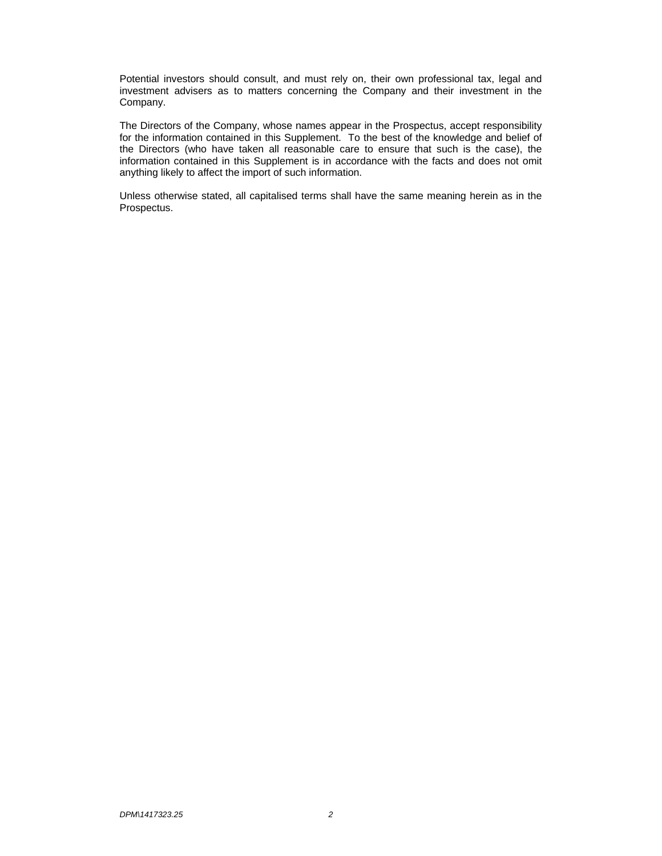Potential investors should consult, and must rely on, their own professional tax, legal and investment advisers as to matters concerning the Company and their investment in the Company.

The Directors of the Company, whose names appear in the Prospectus, accept responsibility for the information contained in this Supplement. To the best of the knowledge and belief of the Directors (who have taken all reasonable care to ensure that such is the case), the information contained in this Supplement is in accordance with the facts and does not omit anything likely to affect the import of such information.

Unless otherwise stated, all capitalised terms shall have the same meaning herein as in the Prospectus.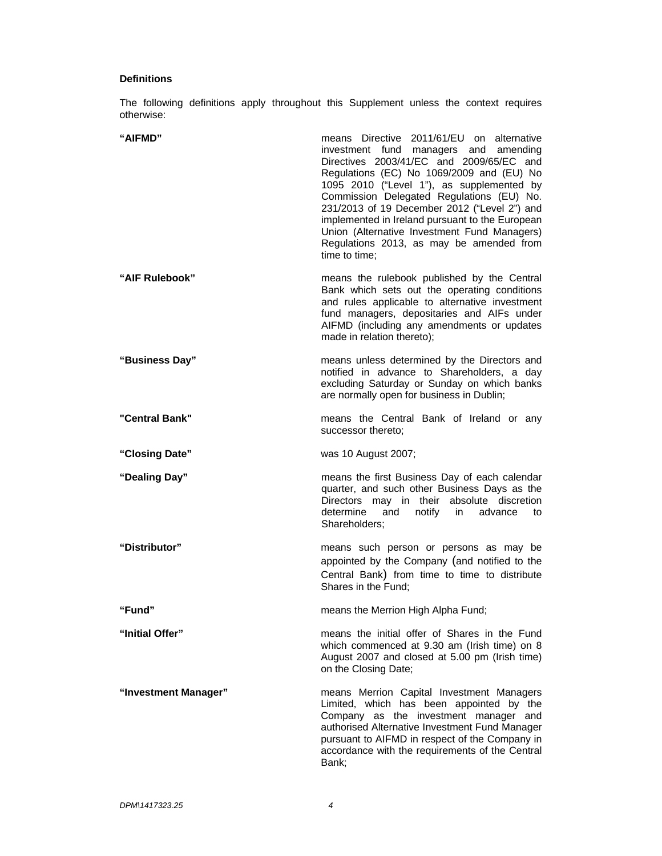# **Definitions**

The following definitions apply throughout this Supplement unless the context requires otherwise:

| "AIFMD"              | means Directive 2011/61/EU on alternative<br>investment fund managers and amending<br>Directives 2003/41/EC and 2009/65/EC and<br>Regulations (EC) No 1069/2009 and (EU) No<br>1095 2010 ("Level 1"), as supplemented by<br>Commission Delegated Regulations (EU) No.<br>231/2013 of 19 December 2012 ("Level 2") and<br>implemented in Ireland pursuant to the European<br>Union (Alternative Investment Fund Managers)<br>Regulations 2013, as may be amended from<br>time to time: |
|----------------------|---------------------------------------------------------------------------------------------------------------------------------------------------------------------------------------------------------------------------------------------------------------------------------------------------------------------------------------------------------------------------------------------------------------------------------------------------------------------------------------|
| "AIF Rulebook"       | means the rulebook published by the Central<br>Bank which sets out the operating conditions<br>and rules applicable to alternative investment<br>fund managers, depositaries and AIFs under<br>AIFMD (including any amendments or updates<br>made in relation thereto);                                                                                                                                                                                                               |
| "Business Day"       | means unless determined by the Directors and<br>notified in advance to Shareholders, a day<br>excluding Saturday or Sunday on which banks<br>are normally open for business in Dublin;                                                                                                                                                                                                                                                                                                |
| "Central Bank"       | means the Central Bank of Ireland or any<br>successor thereto;                                                                                                                                                                                                                                                                                                                                                                                                                        |
| "Closing Date"       | was 10 August 2007;                                                                                                                                                                                                                                                                                                                                                                                                                                                                   |
| "Dealing Day"        | means the first Business Day of each calendar<br>quarter, and such other Business Days as the<br>Directors may in their<br>absolute discretion<br>determine<br>notify<br>and<br>advance<br>in<br>to<br>Shareholders:                                                                                                                                                                                                                                                                  |
| "Distributor"        | means such person or persons as may be<br>appointed by the Company (and notified to the<br>Central Bank) from time to time to distribute<br>Shares in the Fund;                                                                                                                                                                                                                                                                                                                       |
| "Fund"               | means the Merrion High Alpha Fund;                                                                                                                                                                                                                                                                                                                                                                                                                                                    |
| "Initial Offer"      | means the initial offer of Shares in the Fund<br>which commenced at 9.30 am (Irish time) on 8<br>August 2007 and closed at 5.00 pm (Irish time)<br>on the Closing Date;                                                                                                                                                                                                                                                                                                               |
| "Investment Manager" | means Merrion Capital Investment Managers<br>Limited, which has been appointed by the<br>Company as the investment manager and<br>authorised Alternative Investment Fund Manager<br>pursuant to AIFMD in respect of the Company in<br>accordance with the requirements of the Central<br>Bank;                                                                                                                                                                                        |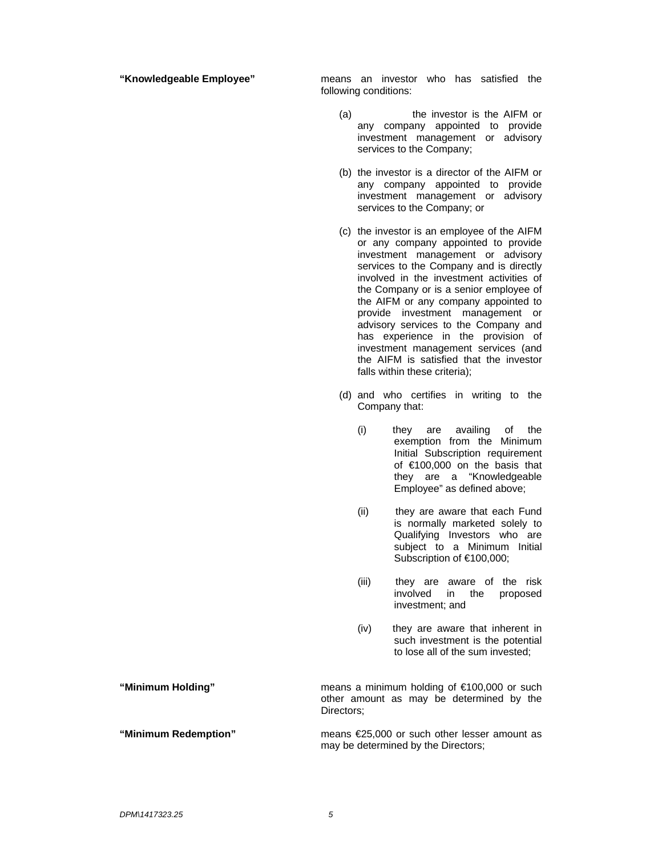**"Knowledgeable Employee"** means an investor who has satisfied the following conditions:

- (a) the investor is the AIFM or any company appointed to provide investment management or advisory services to the Company;
- (b) the investor is a director of the AIFM or any company appointed to provide investment management or advisory services to the Company; or
- (c) the investor is an employee of the AIFM or any company appointed to provide investment management or advisory services to the Company and is directly involved in the investment activities of the Company or is a senior employee of the AIFM or any company appointed to provide investment management or advisory services to the Company and has experience in the provision of investment management services (and the AIFM is satisfied that the investor falls within these criteria);
- (d) and who certifies in writing to the Company that:
	- (i) they are availing of the exemption from the Minimum Initial Subscription requirement of €100,000 on the basis that they are a "Knowledgeable Employee" as defined above;
	- (ii) they are aware that each Fund is normally marketed solely to Qualifying Investors who are subject to a Minimum Initial Subscription of €100,000;
	- (iii) they are aware of the risk involved in the proposed investment; and
	- (iv) they are aware that inherent in such investment is the potential to lose all of the sum invested;

**"Minimum Holding"** means a minimum holding of €100,000 or such other amount as may be determined by the Directors;

**"Minimum Redemption"** means €25,000 or such other lesser amount as may be determined by the Directors;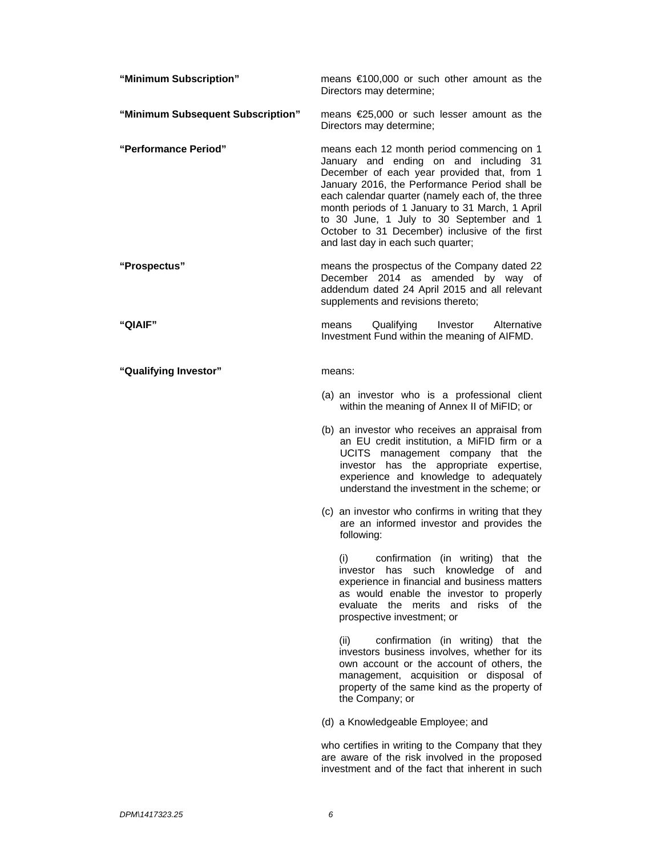| "Minimum Subscription"            | means $\epsilon$ 100,000 or such other amount as the<br>Directors may determine;                                                                                                                                                                                                                                                                                                                                                |
|-----------------------------------|---------------------------------------------------------------------------------------------------------------------------------------------------------------------------------------------------------------------------------------------------------------------------------------------------------------------------------------------------------------------------------------------------------------------------------|
| "Minimum Subsequent Subscription" | means €25,000 or such lesser amount as the<br>Directors may determine;                                                                                                                                                                                                                                                                                                                                                          |
| "Performance Period"              | means each 12 month period commencing on 1<br>January and ending on and including 31<br>December of each year provided that, from 1<br>January 2016, the Performance Period shall be<br>each calendar quarter (namely each of, the three<br>month periods of 1 January to 31 March, 1 April<br>to 30 June, 1 July to 30 September and 1<br>October to 31 December) inclusive of the first<br>and last day in each such quarter; |
| "Prospectus"                      | means the prospectus of the Company dated 22<br>December 2014 as amended by way of<br>addendum dated 24 April 2015 and all relevant<br>supplements and revisions thereto;                                                                                                                                                                                                                                                       |
| "QIAIF"                           | Qualifying<br>Investor<br>Alternative<br>means<br>Investment Fund within the meaning of AIFMD.                                                                                                                                                                                                                                                                                                                                  |
| "Qualifying Investor"             | means:                                                                                                                                                                                                                                                                                                                                                                                                                          |
|                                   | (a) an investor who is a professional client<br>within the meaning of Annex II of MiFID; or                                                                                                                                                                                                                                                                                                                                     |
|                                   | (b) an investor who receives an appraisal from<br>an EU credit institution, a MiFID firm or a<br>UCITS management company that the<br>investor has the appropriate expertise,<br>experience and knowledge to adequately<br>understand the investment in the scheme; or                                                                                                                                                          |
|                                   | (c) an investor who confirms in writing that they<br>are an informed investor and provides the<br>following:                                                                                                                                                                                                                                                                                                                    |
|                                   | confirmation (in writing) that the<br>(i)<br>investor has such knowledge<br>of<br>and<br>experience in financial and business matters<br>as would enable the investor to properly<br>evaluate the merits and<br>risks of the<br>prospective investment; or                                                                                                                                                                      |
|                                   | (ii)<br>confirmation (in writing) that the<br>investors business involves, whether for its<br>own account or the account of others, the<br>management, acquisition or disposal of<br>property of the same kind as the property of<br>the Company; or                                                                                                                                                                            |
|                                   | (d) a Knowledgeable Employee; and                                                                                                                                                                                                                                                                                                                                                                                               |
|                                   | who certifies in writing to the Company that they<br>are aware of the risk involved in the proposed<br>investment and of the fact that inherent in such                                                                                                                                                                                                                                                                         |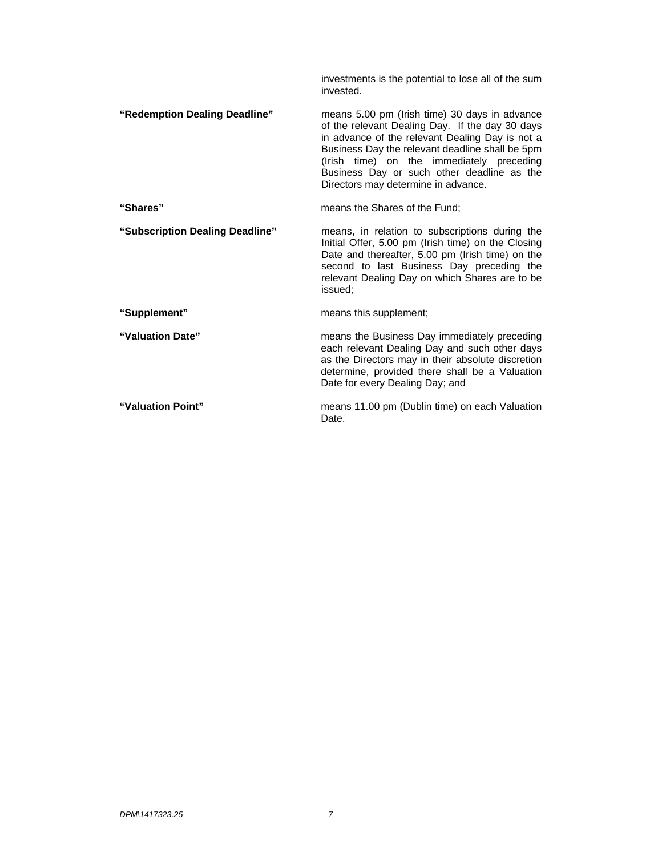|                                 | investments is the potential to lose all of the sum<br>invested.                                                                                                                                                                                                                                                                         |
|---------------------------------|------------------------------------------------------------------------------------------------------------------------------------------------------------------------------------------------------------------------------------------------------------------------------------------------------------------------------------------|
| "Redemption Dealing Deadline"   | means 5.00 pm (Irish time) 30 days in advance<br>of the relevant Dealing Day. If the day 30 days<br>in advance of the relevant Dealing Day is not a<br>Business Day the relevant deadline shall be 5pm<br>(Irish time) on the immediately preceding<br>Business Day or such other deadline as the<br>Directors may determine in advance. |
| "Shares"                        | means the Shares of the Fund:                                                                                                                                                                                                                                                                                                            |
| "Subscription Dealing Deadline" | means, in relation to subscriptions during the<br>Initial Offer, 5.00 pm (Irish time) on the Closing<br>Date and thereafter, 5.00 pm (Irish time) on the<br>second to last Business Day preceding the<br>relevant Dealing Day on which Shares are to be<br>issued:                                                                       |
| "Supplement"                    | means this supplement;                                                                                                                                                                                                                                                                                                                   |
| "Valuation Date"                | means the Business Day immediately preceding<br>each relevant Dealing Day and such other days<br>as the Directors may in their absolute discretion<br>determine, provided there shall be a Valuation<br>Date for every Dealing Day; and                                                                                                  |
| "Valuation Point"               | means 11.00 pm (Dublin time) on each Valuation<br>Date.                                                                                                                                                                                                                                                                                  |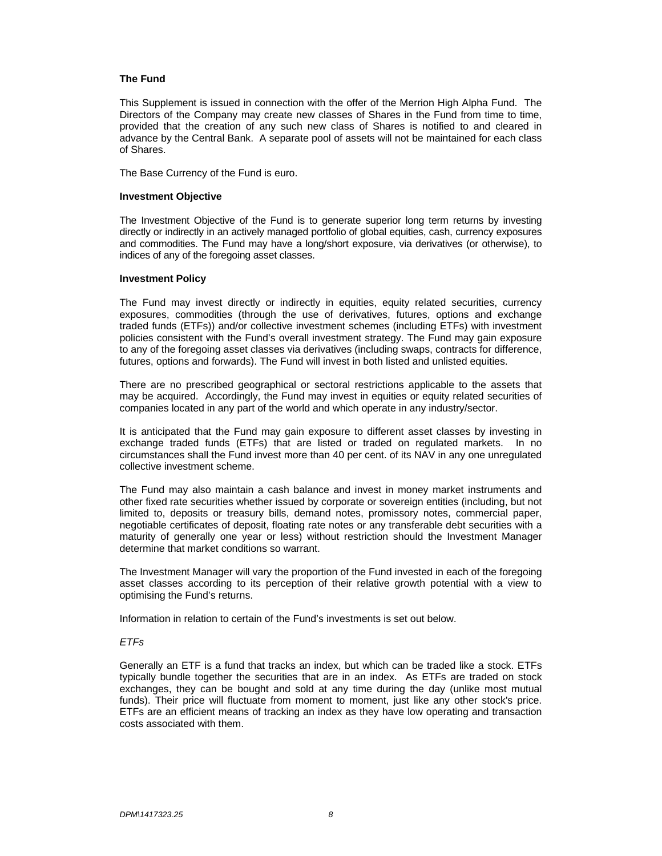## **The Fund**

This Supplement is issued in connection with the offer of the Merrion High Alpha Fund. The Directors of the Company may create new classes of Shares in the Fund from time to time, provided that the creation of any such new class of Shares is notified to and cleared in advance by the Central Bank. A separate pool of assets will not be maintained for each class of Shares.

The Base Currency of the Fund is euro.

#### **Investment Objective**

The Investment Objective of the Fund is to generate superior long term returns by investing directly or indirectly in an actively managed portfolio of global equities, cash, currency exposures and commodities. The Fund may have a long/short exposure, via derivatives (or otherwise), to indices of any of the foregoing asset classes.

#### **Investment Policy**

The Fund may invest directly or indirectly in equities, equity related securities, currency exposures, commodities (through the use of derivatives, futures, options and exchange traded funds (ETFs)) and/or collective investment schemes (including ETFs) with investment policies consistent with the Fund's overall investment strategy. The Fund may gain exposure to any of the foregoing asset classes via derivatives (including swaps, contracts for difference, futures, options and forwards). The Fund will invest in both listed and unlisted equities.

There are no prescribed geographical or sectoral restrictions applicable to the assets that may be acquired. Accordingly, the Fund may invest in equities or equity related securities of companies located in any part of the world and which operate in any industry/sector.

It is anticipated that the Fund may gain exposure to different asset classes by investing in exchange traded funds (ETFs) that are listed or traded on regulated markets. In no circumstances shall the Fund invest more than 40 per cent. of its NAV in any one unregulated collective investment scheme.

The Fund may also maintain a cash balance and invest in money market instruments and other fixed rate securities whether issued by corporate or sovereign entities (including, but not limited to, deposits or treasury bills, demand notes, promissory notes, commercial paper, negotiable certificates of deposit, floating rate notes or any transferable debt securities with a maturity of generally one year or less) without restriction should the Investment Manager determine that market conditions so warrant.

The Investment Manager will vary the proportion of the Fund invested in each of the foregoing asset classes according to its perception of their relative growth potential with a view to optimising the Fund's returns.

Information in relation to certain of the Fund's investments is set out below.

# *ETFs*

Generally an ETF is a fund that tracks an index, but which can be traded like a stock. ETFs typically bundle together the securities that are in an index. As ETFs are traded on stock exchanges, they can be bought and sold at any time during the day (unlike most mutual funds). Their price will fluctuate from moment to moment, just like any other stock's price. ETFs are an efficient means of tracking an index as they have low operating and transaction costs associated with them.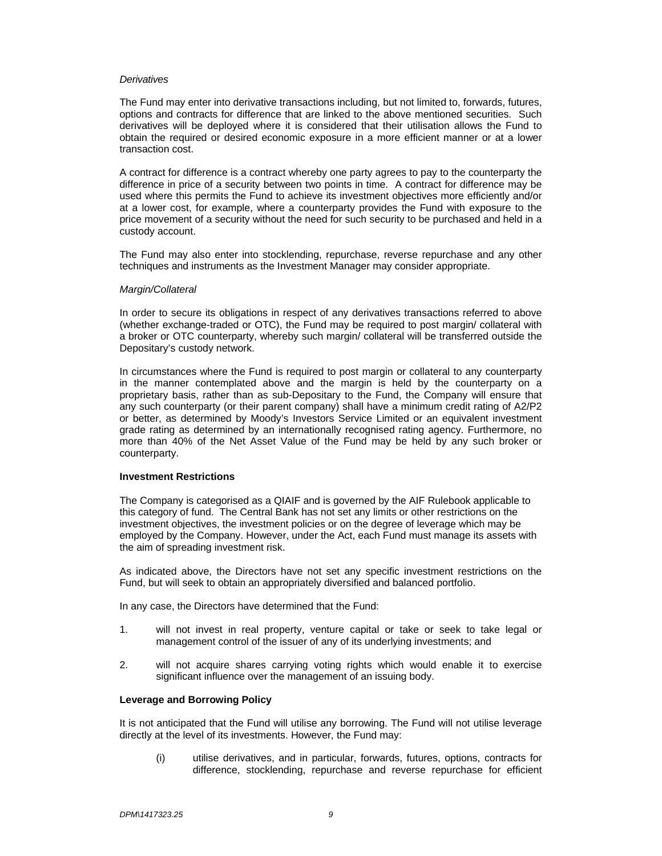#### *Derivatives*

The Fund may enter into derivative transactions including, but not limited to, forwards, futures, options and contracts for difference that are linked to the above mentioned securities. Such derivatives will be deployed where it is considered that their utilisation allows the Fund to obtain the required or desired economic exposure in a more efficient manner or at a lower transaction cost.

A contract for difference is a contract whereby one party agrees to pay to the counterparty the difference in price of a security between two points in time. A contract for difference may be used where this permits the Fund to achieve its investment objectives more efficiently and/or at a lower cost, for example, where a counterparty provides the Fund with exposure to the price movement of a security without the need for such security to be purchased and held in a custody account.

The Fund may also enter into stocklending, repurchase, reverse repurchase and any other techniques and instruments as the Investment Manager may consider appropriate.

#### *Margin/Collateral*

In order to secure its obligations in respect of any derivatives transactions referred to above (whether exchange-traded or OTC), the Fund may be required to post margin/ collateral with a broker or OTC counterparty, whereby such margin/ collateral will be transferred outside the Depositary's custody network.

In circumstances where the Fund is required to post margin or collateral to any counterparty in the manner contemplated above and the margin is held by the counterparty on a proprietary basis, rather than as sub-Depositary to the Fund, the Company will ensure that any such counterparty (or their parent company) shall have a minimum credit rating of A2/P2 or better, as determined by Moody's Investors Service Limited or an equivalent investment grade rating as determined by an internationally recognised rating agency. Furthermore, no more than 40% of the Net Asset Value of the Fund may be held by any such broker or counterparty.

#### **Investment Restrictions**

The Company is categorised as a QIAIF and is governed by the AIF Rulebook applicable to this category of fund. The Central Bank has not set any limits or other restrictions on the investment objectives, the investment policies or on the degree of leverage which may be employed by the Company. However, under the Act, each Fund must manage its assets with the aim of spreading investment risk.

As indicated above, the Directors have not set any specific investment restrictions on the Fund, but will seek to obtain an appropriately diversified and balanced portfolio.

In any case, the Directors have determined that the Fund:

- 1. will not invest in real property, venture capital or take or seek to take legal or management control of the issuer of any of its underlying investments; and
- 2. will not acquire shares carrying voting rights which would enable it to exercise significant influence over the management of an issuing body.

#### **Leverage and Borrowing Policy**

It is not anticipated that the Fund will utilise any borrowing. The Fund will not utilise leverage directly at the level of its investments. However, the Fund may:

(i) utilise derivatives, and in particular, forwards, futures, options, contracts for difference, stocklending, repurchase and reverse repurchase for efficient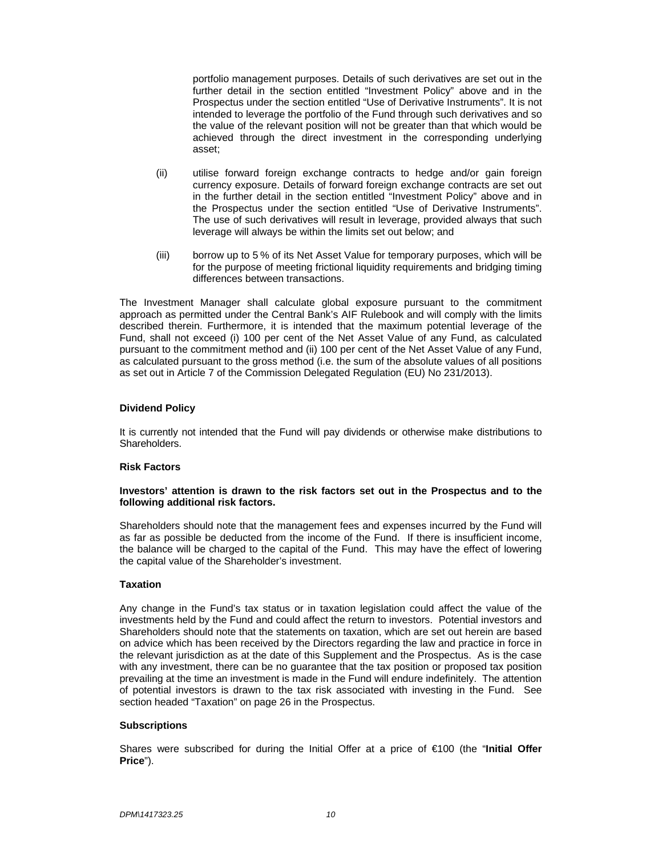portfolio management purposes. Details of such derivatives are set out in the further detail in the section entitled "Investment Policy" above and in the Prospectus under the section entitled "Use of Derivative Instruments". It is not intended to leverage the portfolio of the Fund through such derivatives and so the value of the relevant position will not be greater than that which would be achieved through the direct investment in the corresponding underlying asset;

- (ii) utilise forward foreign exchange contracts to hedge and/or gain foreign currency exposure. Details of forward foreign exchange contracts are set out in the further detail in the section entitled "Investment Policy" above and in the Prospectus under the section entitled "Use of Derivative Instruments". The use of such derivatives will result in leverage, provided always that such leverage will always be within the limits set out below; and
- (iii) borrow up to 5 % of its Net Asset Value for temporary purposes, which will be for the purpose of meeting frictional liquidity requirements and bridging timing differences between transactions.

The Investment Manager shall calculate global exposure pursuant to the commitment approach as permitted under the Central Bank's AIF Rulebook and will comply with the limits described therein. Furthermore, it is intended that the maximum potential leverage of the Fund, shall not exceed (i) 100 per cent of the Net Asset Value of any Fund, as calculated pursuant to the commitment method and (ii) 100 per cent of the Net Asset Value of any Fund, as calculated pursuant to the gross method (i.e. the sum of the absolute values of all positions as set out in Article 7 of the Commission Delegated Regulation (EU) No 231/2013).

# **Dividend Policy**

It is currently not intended that the Fund will pay dividends or otherwise make distributions to Shareholders.

# **Risk Factors**

#### **Investors' attention is drawn to the risk factors set out in the Prospectus and to the following additional risk factors.**

Shareholders should note that the management fees and expenses incurred by the Fund will as far as possible be deducted from the income of the Fund. If there is insufficient income, the balance will be charged to the capital of the Fund. This may have the effect of lowering the capital value of the Shareholder's investment.

#### **Taxation**

Any change in the Fund's tax status or in taxation legislation could affect the value of the investments held by the Fund and could affect the return to investors. Potential investors and Shareholders should note that the statements on taxation, which are set out herein are based on advice which has been received by the Directors regarding the law and practice in force in the relevant jurisdiction as at the date of this Supplement and the Prospectus. As is the case with any investment, there can be no guarantee that the tax position or proposed tax position prevailing at the time an investment is made in the Fund will endure indefinitely. The attention of potential investors is drawn to the tax risk associated with investing in the Fund. See section headed "Taxation" on page 26 in the Prospectus.

#### **Subscriptions**

Shares were subscribed for during the Initial Offer at a price of €100 (the "**Initial Offer Price**").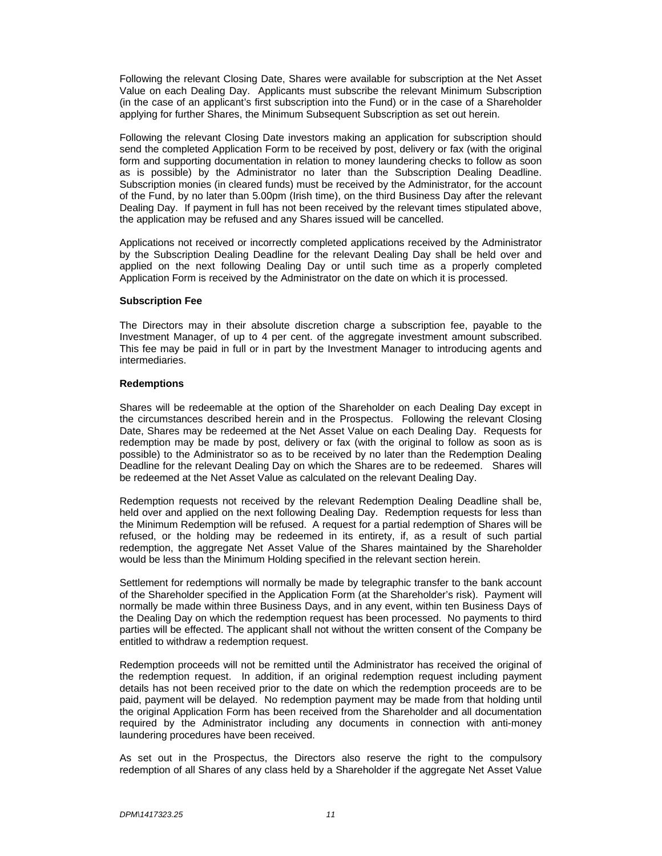Following the relevant Closing Date, Shares were available for subscription at the Net Asset Value on each Dealing Day. Applicants must subscribe the relevant Minimum Subscription (in the case of an applicant's first subscription into the Fund) or in the case of a Shareholder applying for further Shares, the Minimum Subsequent Subscription as set out herein.

Following the relevant Closing Date investors making an application for subscription should send the completed Application Form to be received by post, delivery or fax (with the original form and supporting documentation in relation to money laundering checks to follow as soon as is possible) by the Administrator no later than the Subscription Dealing Deadline. Subscription monies (in cleared funds) must be received by the Administrator, for the account of the Fund, by no later than 5.00pm (Irish time), on the third Business Day after the relevant Dealing Day. If payment in full has not been received by the relevant times stipulated above, the application may be refused and any Shares issued will be cancelled.

Applications not received or incorrectly completed applications received by the Administrator by the Subscription Dealing Deadline for the relevant Dealing Day shall be held over and applied on the next following Dealing Day or until such time as a properly completed Application Form is received by the Administrator on the date on which it is processed.

#### **Subscription Fee**

The Directors may in their absolute discretion charge a subscription fee, payable to the Investment Manager, of up to 4 per cent. of the aggregate investment amount subscribed. This fee may be paid in full or in part by the Investment Manager to introducing agents and intermediaries.

#### **Redemptions**

Shares will be redeemable at the option of the Shareholder on each Dealing Day except in the circumstances described herein and in the Prospectus. Following the relevant Closing Date, Shares may be redeemed at the Net Asset Value on each Dealing Day. Requests for redemption may be made by post, delivery or fax (with the original to follow as soon as is possible) to the Administrator so as to be received by no later than the Redemption Dealing Deadline for the relevant Dealing Day on which the Shares are to be redeemed. Shares will be redeemed at the Net Asset Value as calculated on the relevant Dealing Day.

Redemption requests not received by the relevant Redemption Dealing Deadline shall be, held over and applied on the next following Dealing Day. Redemption requests for less than the Minimum Redemption will be refused. A request for a partial redemption of Shares will be refused, or the holding may be redeemed in its entirety, if, as a result of such partial redemption, the aggregate Net Asset Value of the Shares maintained by the Shareholder would be less than the Minimum Holding specified in the relevant section herein.

Settlement for redemptions will normally be made by telegraphic transfer to the bank account of the Shareholder specified in the Application Form (at the Shareholder's risk). Payment will normally be made within three Business Days, and in any event, within ten Business Days of the Dealing Day on which the redemption request has been processed. No payments to third parties will be effected. The applicant shall not without the written consent of the Company be entitled to withdraw a redemption request.

Redemption proceeds will not be remitted until the Administrator has received the original of the redemption request. In addition, if an original redemption request including payment details has not been received prior to the date on which the redemption proceeds are to be paid, payment will be delayed. No redemption payment may be made from that holding until the original Application Form has been received from the Shareholder and all documentation required by the Administrator including any documents in connection with anti-money laundering procedures have been received.

As set out in the Prospectus, the Directors also reserve the right to the compulsory redemption of all Shares of any class held by a Shareholder if the aggregate Net Asset Value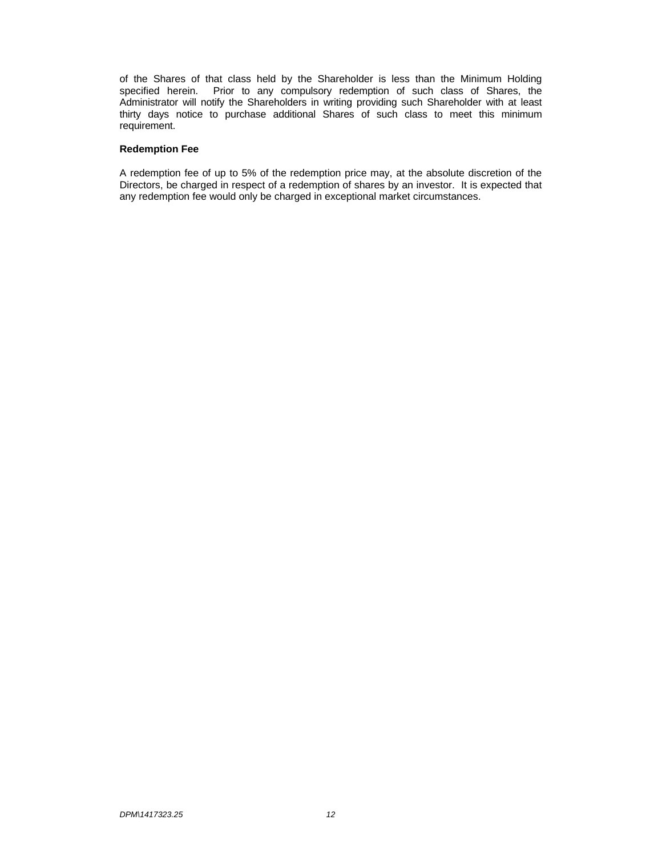of the Shares of that class held by the Shareholder is less than the Minimum Holding specified herein. Prior to any compulsory redemption of such class of Shares, the Administrator will notify the Shareholders in writing providing such Shareholder with at least thirty days notice to purchase additional Shares of such class to meet this minimum requirement.

# **Redemption Fee**

A redemption fee of up to 5% of the redemption price may, at the absolute discretion of the Directors, be charged in respect of a redemption of shares by an investor. It is expected that any redemption fee would only be charged in exceptional market circumstances.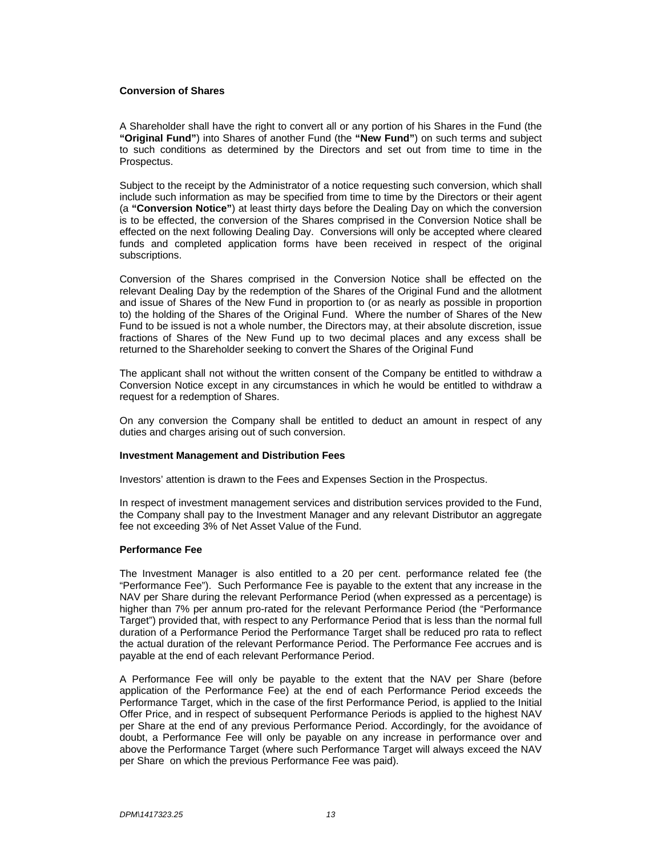## **Conversion of Shares**

A Shareholder shall have the right to convert all or any portion of his Shares in the Fund (the **"Original Fund"**) into Shares of another Fund (the **"New Fund"**) on such terms and subject to such conditions as determined by the Directors and set out from time to time in the Prospectus.

Subject to the receipt by the Administrator of a notice requesting such conversion, which shall include such information as may be specified from time to time by the Directors or their agent (a **"Conversion Notice"**) at least thirty days before the Dealing Day on which the conversion is to be effected, the conversion of the Shares comprised in the Conversion Notice shall be effected on the next following Dealing Day. Conversions will only be accepted where cleared funds and completed application forms have been received in respect of the original subscriptions.

Conversion of the Shares comprised in the Conversion Notice shall be effected on the relevant Dealing Day by the redemption of the Shares of the Original Fund and the allotment and issue of Shares of the New Fund in proportion to (or as nearly as possible in proportion to) the holding of the Shares of the Original Fund. Where the number of Shares of the New Fund to be issued is not a whole number, the Directors may, at their absolute discretion, issue fractions of Shares of the New Fund up to two decimal places and any excess shall be returned to the Shareholder seeking to convert the Shares of the Original Fund

The applicant shall not without the written consent of the Company be entitled to withdraw a Conversion Notice except in any circumstances in which he would be entitled to withdraw a request for a redemption of Shares.

On any conversion the Company shall be entitled to deduct an amount in respect of any duties and charges arising out of such conversion.

# **Investment Management and Distribution Fees**

Investors' attention is drawn to the Fees and Expenses Section in the Prospectus.

In respect of investment management services and distribution services provided to the Fund, the Company shall pay to the Investment Manager and any relevant Distributor an aggregate fee not exceeding 3% of Net Asset Value of the Fund.

# **Performance Fee**

The Investment Manager is also entitled to a 20 per cent. performance related fee (the "Performance Fee"). Such Performance Fee is payable to the extent that any increase in the NAV per Share during the relevant Performance Period (when expressed as a percentage) is higher than 7% per annum pro-rated for the relevant Performance Period (the "Performance Target") provided that, with respect to any Performance Period that is less than the normal full duration of a Performance Period the Performance Target shall be reduced pro rata to reflect the actual duration of the relevant Performance Period. The Performance Fee accrues and is payable at the end of each relevant Performance Period.

A Performance Fee will only be payable to the extent that the NAV per Share (before application of the Performance Fee) at the end of each Performance Period exceeds the Performance Target, which in the case of the first Performance Period, is applied to the Initial Offer Price, and in respect of subsequent Performance Periods is applied to the highest NAV per Share at the end of any previous Performance Period. Accordingly, for the avoidance of doubt, a Performance Fee will only be payable on any increase in performance over and above the Performance Target (where such Performance Target will always exceed the NAV per Share on which the previous Performance Fee was paid).